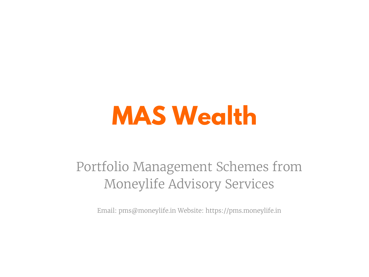# **MAS Wealth**

Portfolio Management Schemes from Moneylife Advisory Services

Email: pms@moneylife.in Website: https://pms.moneylife.in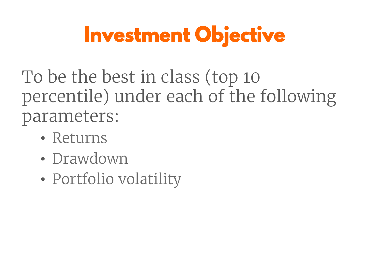## **Investment Objective**

To be the best in class (top 10 percentile) under each of the following parameters:

- Returns
- Drawdown
- Portfolio volatility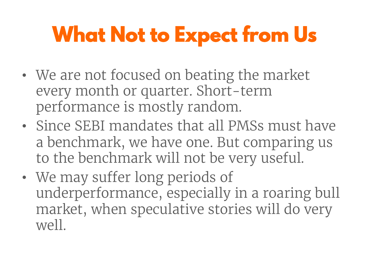## **What Not to Expect from Us**

- We are not focused on beating the market every month or quarter. Short-term performance is mostly random.
- Since SEBI mandates that all PMSs must have a benchmark, we have one. But comparing us to the benchmark will not be very useful.
- We may suffer long periods of underperformance, especially in a roaring bull market, when speculative stories will do very well.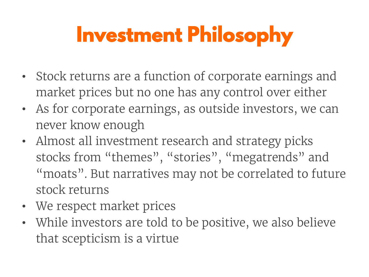## **Investment Philosophy**

- Stock returns are a function of corporate earnings and market prices but no one has any control over either
- As for corporate earnings, as outside investors, we can never know enough
- Almost all investment research and strategy picks stocks from "themes", "stories", "megatrends" and "moats". But narratives may not be correlated to future stock returns
- We respect market prices
- While investors are told to be positive, we also believe that scepticism is a virtue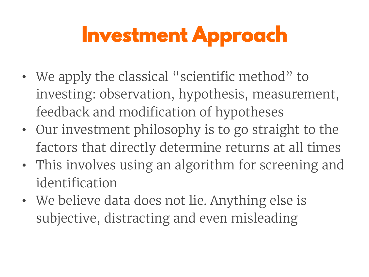## **Investment Approach**

- We apply the classical "scientific method" to investing: observation, hypothesis, measurement, feedback and modification of hypotheses
- Our investment philosophy is to go straight to the factors that directly determine returns at all times
- This involves using an algorithm for screening and identification
- We believe data does not lie. Anything else is subjective, distracting and even misleading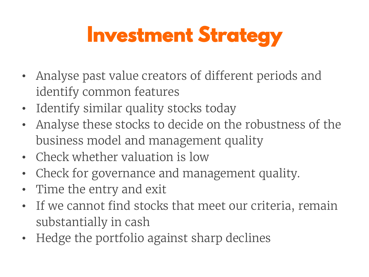### **Investment Strategy**

- Analyse past value creators of different periods and identify common features
- Identify similar quality stocks today
- Analyse these stocks to decide on the robustness of the business model and management quality
- Check whether valuation is low
- Check for governance and management quality.
- Time the entry and exit
- If we cannot find stocks that meet our criteria, remain substantially in cash
- Hedge the portfolio against sharp declines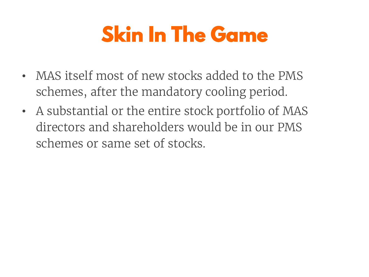### **Skin In The Game**

- MAS itself most of new stocks added to the PMS schemes, after the mandatory cooling period.
- A substantial or the entire stock portfolio of MAS directors and shareholders would be in our PMS schemes or same set of stocks.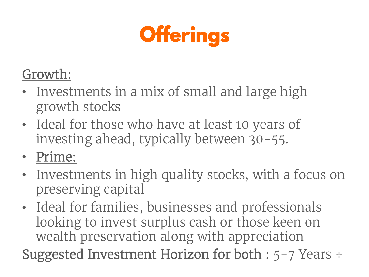

#### Growth:

- Investments in a mix of small and large high growth stocks
- Ideal for those who have at least 10 years of investing ahead, typically between 30-55.

• Prime:

- Investments in high quality stocks, with a focus on preserving capital
- Ideal for families, businesses and professionals looking to invest surplus cash or those keen on wealth preservation along with appreciation

Suggested Investment Horizon for both : 5-7 Years +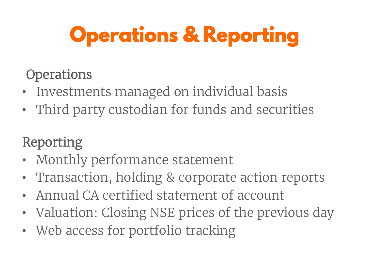## **Operations & Reporting**

#### **Operations**

- Investments managed on individual basis
- Third party custodian for funds and securities

#### Reporting

- Monthly performance statement
- Transaction, holding & corporate action reports
- Annual CA certified statement of account
- Valuation: Closing NSE prices of the previous day
- Web access for portfolio tracking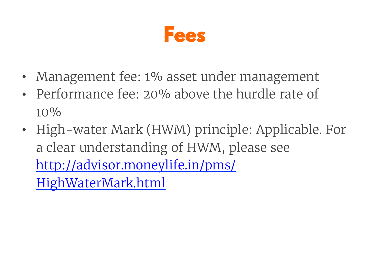

- Management fee: 1% asset under management
- Performance fee: 20% above the hurdle rate of  $10\%$
- High-water Mark (HWM) principle: Applicable. For a clear understanding of HWM, please see http://advisor.moneylife.in/pms/ HighWaterMark.html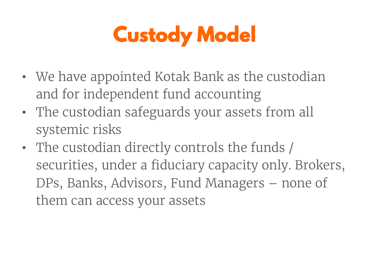## **Custody Model**

- We have appointed Kotak Bank as the custodian and for independent fund accounting
- The custodian safeguards your assets from all systemic risks
- The custodian directly controls the funds / securities, under a fiduciary capacity only. Brokers, DPs, Banks, Advisors, Fund Managers – none of them can access your assets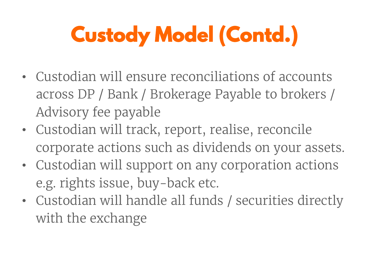# **Custody Model (Contd.)**

- Custodian will ensure reconciliations of accounts across DP / Bank / Brokerage Payable to brokers / Advisory fee payable
- Custodian will track, report, realise, reconcile corporate actions such as dividends on your assets.
- Custodian will support on any corporation actions e.g. rights issue, buy-back etc.
- Custodian will handle all funds / securities directly with the exchange